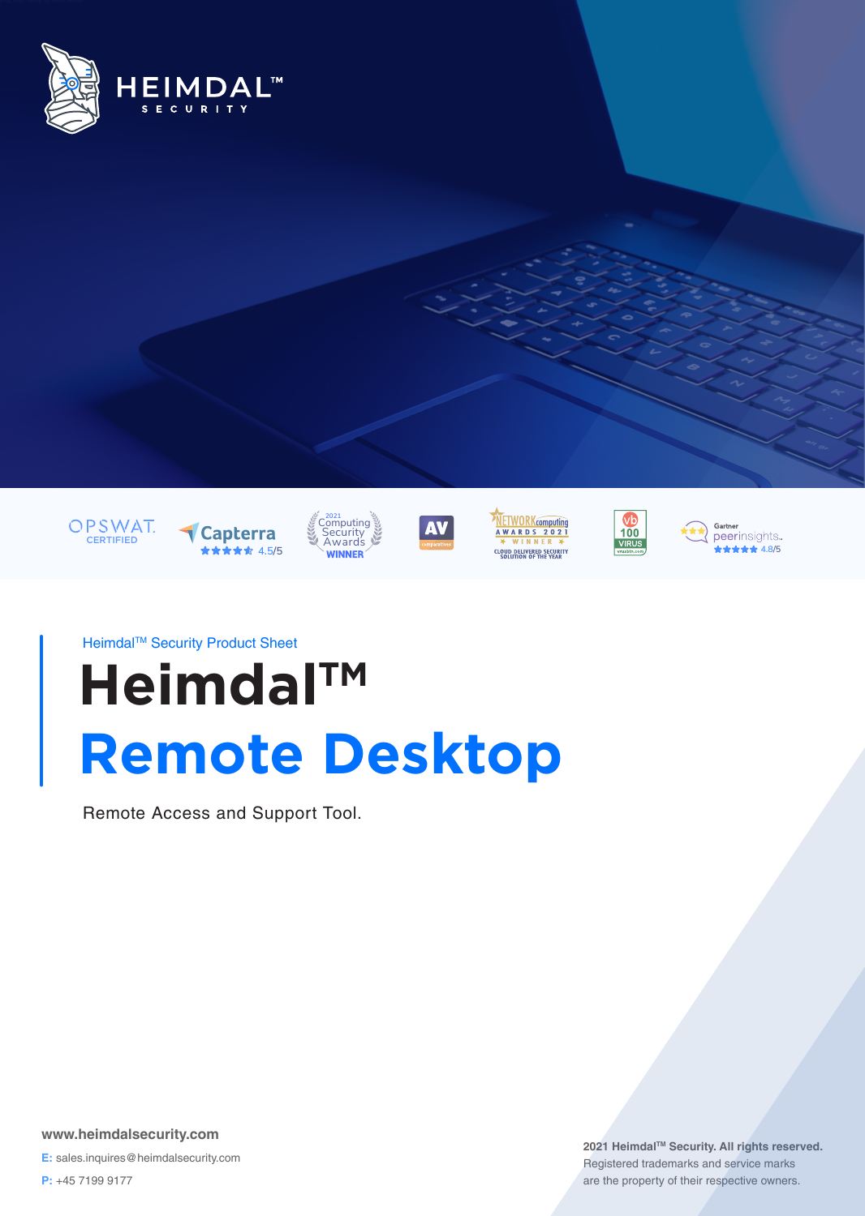















Heimdal<sup>™</sup> Security Product Sheet

# **Heimdal™ Remote Desktop**

Remote Access and Support Tool.

**www.heimdalsecurity.com E:** sales.inquires@heimdalsecurity.com

**P:** +45 7199 9177

**2021 HeimdalTM Security. All rights reserved.** Registered trademarks and service marks are the property of their respective owners.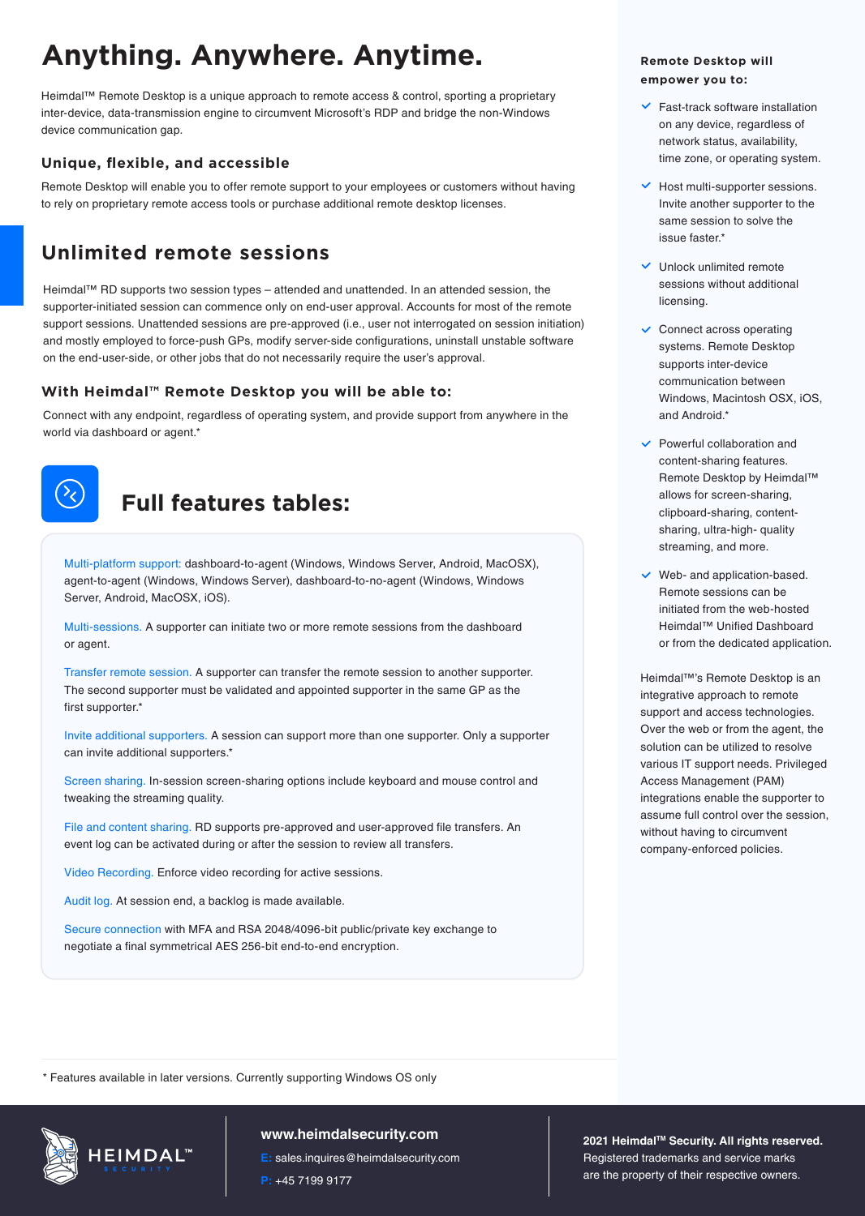# **Anything. Anywhere. Anytime.**

Heimdal™ Remote Desktop is a unique approach to remote access & control, sporting a proprietary inter-device, data-transmission engine to circumvent Microsoft's RDP and bridge the non-Windows device communication gap.

## **Unique, flexible, and accessible**

Remote Desktop will enable you to offer remote support to your employees or customers without having to rely on proprietary remote access tools or purchase additional remote desktop licenses.

## **Unlimited remote sessions**

Heimdal™ RD supports two session types – attended and unattended. In an attended session, the supporter-initiated session can commence only on end-user approval. Accounts for most of the remote support sessions. Unattended sessions are pre-approved (i.e., user not interrogated on session initiation) and mostly employed to force-push GPs, modify server-side configurations, uninstall unstable software on the end-user-side, or other jobs that do not necessarily require the user's approval.

## **With Heimdal™ Remote Desktop you will be able to:**

Connect with any endpoint, regardless of operating system, and provide support from anywhere in the world via dashboard or agent.\*



## **Full features tables:**

Multi-platform support: dashboard-to-agent (Windows, Windows Server, Android, MacOSX), agent-to-agent (Windows, Windows Server), dashboard-to-no-agent (Windows, Windows Server, Android, MacOSX, iOS).

Multi-sessions. A supporter can initiate two or more remote sessions from the dashboard or agent.

Transfer remote session. A supporter can transfer the remote session to another supporter. The second supporter must be validated and appointed supporter in the same GP as the first supporter.\*

Invite additional supporters. A session can support more than one supporter. Only a supporter can invite additional supporters.\*

Screen sharing. In-session screen-sharing options include keyboard and mouse control and tweaking the streaming quality.

File and content sharing. RD supports pre-approved and user-approved file transfers. An event log can be activated during or after the session to review all transfers.

Video Recording. Enforce video recording for active sessions.

Audit log. At session end, a backlog is made available.

Secure connection with MFA and RSA 2048/4096-bit public/private key exchange to negotiate a final symmetrical AES 256-bit end-to-end encryption.

#### **Remote Desktop will empower you to:**

- $\checkmark$  Fast-track software installation on any device, regardless of network status, availability, time zone, or operating system.
- $\vee$  Host multi-supporter sessions. Invite another supporter to the same session to solve the issue faster\*
- $\vee$  Unlock unlimited remote sessions without additional licensing.
- $\checkmark$  Connect across operating systems. Remote Desktop supports inter-device communication between Windows, Macintosh OSX, iOS, and Android.\*
- $\vee$  Powerful collaboration and content-sharing features. Remote Desktop by Heimdal™ allows for screen-sharing, clipboard-sharing, contentsharing, ultra-high- quality streaming, and more.
- $\vee$  Web- and application-based. Remote sessions can be initiated from the web-hosted Heimdal™ Unified Dashboard or from the dedicated application.

Heimdal™'s Remote Desktop is an integrative approach to remote support and access technologies. Over the web or from the agent, the solution can be utilized to resolve various IT support needs. Privileged Access Management (PAM) integrations enable the supporter to assume full control over the session, without having to circumvent company-enforced policies.

\* Features available in later versions. Currently supporting Windows OS only



#### **www.heimdalsecurity.com**

**E:** sales.inquires@heimdalsecurity.com **P:** +45 7199 9177

**2021 HeimdalTM Security. All rights reserved.** Registered trademarks and service marks are the property of their respective owners.